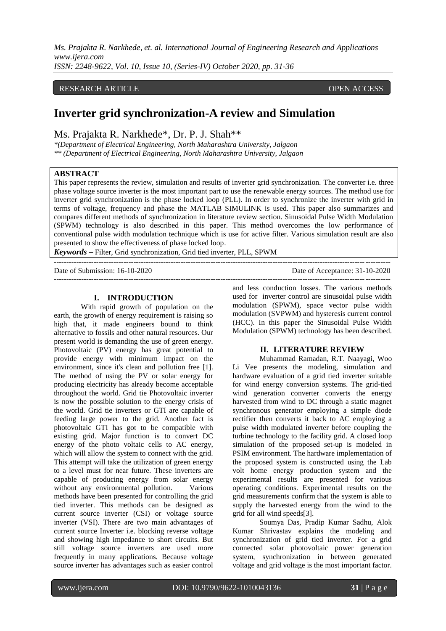*Ms. Prajakta R. Narkhede, et. al. International Journal of Engineering Research and Applications www.ijera.com*

*ISSN: 2248-9622, Vol. 10, Issue 10, (Series-IV) October 2020, pp. 31-36*

#### RESEARCH ARTICLE **ARTICLE** AND **CONSERVANCESS** OPEN ACCESS OPEN ACCESS OPEN ACCESS OPEN ACCESS OF A SAMPLE OF A SAMPLE OF A SAMPLE OF A SAMPLE OF A SAMPLE OF A SAMPLE OF A SAMPLE OF A SAMPLE OF A SAMPLE OF A SAMPLE OF A SA

# **Inverter grid synchronization-A review and Simulation**

Ms. Prajakta R. Narkhede\*, Dr. P. J. Shah\*\*

*\*(Department of Electrical Engineering, North Maharashtra University, Jalgaon \*\* (Department of Electrical Engineering, North Maharashtra University, Jalgaon*

#### **ABSTRACT**

This paper represents the review, simulation and results of inverter grid synchronization. The converter i.e. three phase voltage source inverter is the most important part to use the renewable energy sources. The method use for inverter grid synchronization is the phase locked loop (PLL). In order to synchronize the inverter with grid in terms of voltage, frequency and phase the MATLAB SIMULINK is used. This paper also summarizes and compares different methods of synchronization in literature review section. Sinusoidal Pulse Width Modulation (SPWM) technology is also described in this paper. This method overcomes the low performance of conventional pulse width modulation technique which is use for active filter. Various simulation result are also presented to show the effectiveness of phase locked loop.

---------------------------------------------------------------------------------------------------------------------------------------

*Keywords* **–** Filter, Grid synchronization, Grid tied inverter, PLL, SPWM

Date of Submission: 16-10-2020 Date of Acceptance: 31-10-2020

# ---------------------------------------------------------------------------------------------------------------------------------------

#### **I. INTRODUCTION**

With rapid growth of population on the earth, the growth of energy requirement is raising so high that, it made engineers bound to think alternative to fossils and other natural resources. Our present world is demanding the use of green energy. Photovoltaic (PV) energy has great potential to provide energy with minimum impact on the environment, since it's clean and pollution free [1]. The method of using the PV or solar energy for producing electricity has already become acceptable throughout the world. Grid tie Photovoltaic inverter is now the possible solution to the energy crisis of the world. Grid tie inverters or GTI are capable of feeding large power to the grid. Another fact is photovoltaic GTI has got to be compatible with existing grid. Major function is to convert DC energy of the photo voltaic cells to AC energy, which will allow the system to connect with the grid. This attempt will take the utilization of green energy to a level must for near future. These inverters are capable of producing energy from solar energy without any environmental pollution. Various methods have been presented for controlling the grid tied inverter. This methods can be designed as current source inverter (CSI) or voltage source inverter (VSI). There are two main advantages of current source Inverter i.e. blocking reverse voltage and showing high impedance to short circuits. But still voltage source inverters are used more frequently in many applications. Because voltage source inverter has advantages such as easier control

and less conduction losses. The various methods used for inverter control are sinusoidal pulse width modulation (SPWM), space vector pulse width modulation (SVPWM) and hysteresis current control (HCC). In this paper the Sinusoidal Pulse Width Modulation (SPWM) technology has been described.

#### **II. LITERATURE REVIEW**

Muhammad Ramadan, R.T. Naayagi, Woo Li Vee presents the modeling, simulation and hardware evaluation of a grid tied inverter suitable for wind energy conversion systems. The grid-tied wind generation converter converts the energy harvested from wind to DC through a static magnet synchronous generator employing a simple diode rectifier then converts it back to AC employing a pulse width modulated inverter before coupling the turbine technology to the facility grid. A closed loop simulation of the proposed set-up is modeled in PSIM environment. The hardware implementation of the proposed system is constructed using the Lab volt home energy production system and the experimental results are presented for various operating conditions. Experimental results on the grid measurements confirm that the system is able to supply the harvested energy from the wind to the grid for all wind speeds[3].

Soumya Das, Pradip Kumar Sadhu, Alok Kumar Shrivastav explains the modeling and synchronization of grid tied inverter. For a grid connected solar photovoltaic power generation system, synchronization in between generated voltage and grid voltage is the most important factor.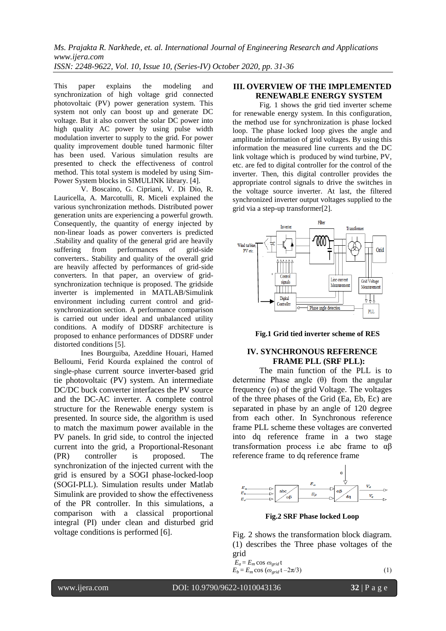*Ms. Prajakta R. Narkhede, et. al. International Journal of Engineering Research and Applications www.ijera.com ISSN: 2248-9622, Vol. 10, Issue 10, (Series-IV) October 2020, pp. 31-36*

This paper explains the modeling and synchronization of high voltage grid connected photovoltaic (PV) power generation system. This system not only can boost up and generate DC voltage. But it also convert the solar DC power into high quality AC power by using pulse width modulation inverter to supply to the grid. For power quality improvement double tuned harmonic filter has been used. Various simulation results are presented to check the effectiveness of control method. This total system is modeled by using Sim-Power System blocks in SIMULINK library. [4].

V. Boscaino, G. Cipriani, V. Di Dio, R. Lauricella, A. Marcotulli, R. Miceli explained the various synchronization methods. Distributed power generation units are experiencing a powerful growth. Consequently, the quantity of energy injected by non-linear loads as power converters is predicted .Stability and quality of the general grid are heavily suffering from performances of grid-side converters.. Stability and quality of the overall grid are heavily affected by performances of grid-side converters. In that paper, an overview of gridsynchronization technique is proposed. The gridside inverter is implemented in MATLAB/Simulink environment including current control and gridsynchronization section. A performance comparison is carried out under ideal and unbalanced utility conditions. A modify of DDSRF architecture is proposed to enhance performances of DDSRF under distorted conditions [5].

Ines Bourguiba, Azeddine Houari, Hamed Belloumi, Ferid Kourda explained the control of single-phase current source inverter-based grid tie photovoltaic (PV) system. An intermediate DC/DC buck converter interfaces the PV source and the DC-AC inverter. A complete control structure for the Renewable energy system is presented. In source side, the algorithm is used to match the maximum power available in the PV panels. In grid side, to control the injected current into the grid, a Proportional-Resonant (PR) controller is proposed. The synchronization of the injected current with the grid is ensured by a SOGI phase-locked-loop (SOGI-PLL). Simulation results under Matlab Simulink are provided to show the effectiveness of the PR controller. In this simulations, a comparison with a classical proportional integral (PI) under clean and disturbed grid voltage conditions is performed [6].

# **III. OVERVIEW OF THE IMPLEMENTED RENEWABLE ENERGY SYSTEM**

Fig. 1 shows the grid tied inverter scheme for renewable energy system. In this configuration, the method use for synchronization is phase locked loop. The phase locked loop gives the angle and amplitude information of grid voltages. By using this information the measured line currents and the DC link voltage which is produced by wind turbine, PV, etc. are fed to digital controller for the control of the inverter. Then, this digital controller provides the appropriate control signals to drive the switches in the voltage source inverter. At last, the filtered synchronized inverter output voltages supplied to the grid via a step-up transformer[2].



**Fig.1 Grid tied inverter scheme of RES**

#### **IV. SYNCHRONOUS REFERENCE FRAME PLL (SRF PLL):**

The main function of the PLL is to determine Phase angle (θ) from the angular frequency ( $\omega$ ) of the grid Voltage. The voltages of the three phases of the Grid (Ea, Eb, Ec) are separated in phase by an angle of 120 degree from each other. In Synchronous reference frame PLL scheme these voltages are converted into dq reference frame in a two stage transformation process i.e abc frame to αβ reference frame to dq reference frame



**Fig.2 SRF Phase locked Loop**

Fig. 2 shows the transformation block diagram. (1) describes the Three phase voltages of the grid

$$
E_a = E_m \cos \omega_{grid} t
$$
  
\n
$$
E_b = E_m \cos (\omega_{grid} t - 2\pi/3)
$$
 (1)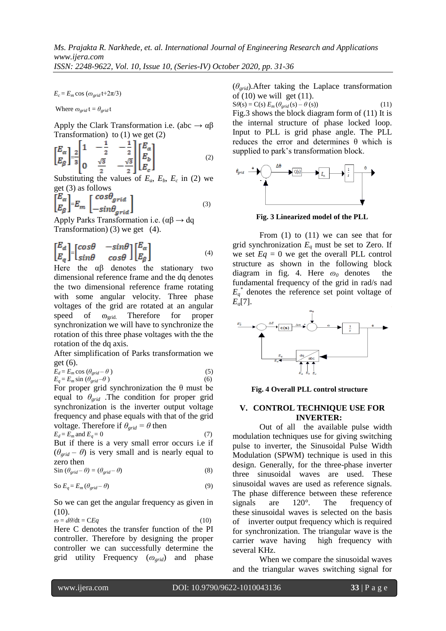$E_c = E_m \cos(\omega_{grid} t + 2\pi/3)$ 

Where  $\omega_{grid}$  t =  $\theta_{grid}$  t

Apply the Clark Transformation i.e. (abc  $\rightarrow \alpha \beta$ Transformation) to  $(1)$  we get  $(2)$ 

$$
\begin{bmatrix} E_{\alpha} \\ E_{\beta} \end{bmatrix} = \frac{2}{3} \begin{bmatrix} 1 & -\frac{1}{2} & -\frac{1}{2} \\ 0 & \frac{\sqrt{3}}{2} & -\frac{\sqrt{3}}{2} \end{bmatrix} \begin{bmatrix} E_{a} \\ E_{b} \\ E_{c} \end{bmatrix}
$$
 (2)

Substituting the values of  $E_a$ ,  $E_b$ ,  $E_c$  in (2) we get (3) as follows

$$
\begin{bmatrix} E_{\alpha} \\ E_{\beta} \end{bmatrix} = E_m \begin{bmatrix} cos \theta_{grid} \\ -sin \theta_{grid} \end{bmatrix}
$$
 (3)

Apply Parks Transformation i.e.  $(\alpha\beta \rightarrow dq)$ Transformation) (3) we get (4).

$$
\begin{bmatrix} E_d \\ E_q \end{bmatrix} = \begin{bmatrix} \cos\theta & -\sin\theta \\ \sin\theta & \cos\theta \end{bmatrix} \begin{bmatrix} E_\alpha \\ E_\beta \end{bmatrix}
$$
 (4)

Here the αβ denotes the stationary two dimensional reference frame and the dq denotes the two dimensional reference frame rotating with some angular velocity. Three phase voltages of the grid are rotated at an angular speed of  $\omega_{grid}$ . Therefore for proper synchronization we will have to synchronize the rotation of this three phase voltages with the the rotation of the dq axis.

After simplification of Parks transformation we get (6).

$$
E_d = E_m \cos (\theta_{grid} - \theta)
$$
 (5)  
\n
$$
E_q = E_m \sin (\theta_{grid} - \theta)
$$
 (6)

For proper grid synchronization the  $\theta$  must be equal to *θgrid* .The condition for proper grid synchronization is the inverter output voltage frequency and phase equals with that of the grid voltage. Therefore if  $\theta_{grid} = \theta$  then

$$
E_d = E_m \text{ and } E_q = 0 \tag{7}
$$

But if there is a very small error occurs i.e if  $(\theta_{grid} - \theta)$  is very small and is nearly equal to zero then

$$
\sin (\theta_{grid} - \theta) = (\theta_{grid} - \theta) \tag{8}
$$

So 
$$
E_q = E_m (\theta_{grid} - \theta)
$$
 (9)

So we can get the angular frequency as given in  $(10).$ 

$$
\omega = d\theta/dt = CEq \tag{10}
$$

Here C denotes the transfer function of the PI controller. Therefore by designing the proper controller we can successfully determine the grid utility Frequency ( $\omega_{grid}$ ) and phase

(*θgrid*).After taking the Laplace transformation of  $(10)$  we will get  $(11)$ .

 $S\theta(s) = C(s) E_m(\theta_{grid}(s) - \theta(s))$  (11) Fig.3 shows the block diagram form of (11) It is the internal structure of phase locked loop. Input to PLL is grid phase angle. The PLL reduces the error and determines θ which is supplied to park's transformation block.



**Fig. 3 Linearized model of the PLL**

From (1) to (11) we can see that for grid synchronization  $E_q$  must be set to Zero. If we set  $Eq = 0$  we get the overall PLL control structure as shown in the following block diagram in fig. 4. Here  $\omega_0$  denotes the fundamental frequency of the grid in rad/s nad  $E_q^*$  denotes the reference set point voltage of *Eq*[7].



**Fig. 4 Overall PLL control structure**

# **V. CONTROL TECHNIQUE USE FOR INVERTER:**

Out of all the available pulse width modulation techniques use for giving switching pulse to inverter, the Sinusoidal Pulse Width Modulation (SPWM) technique is used in this design. Generally, for the three-phase inverter three sinusoidal waves are used. These sinusoidal waves are used as reference signals. The phase difference between these reference signals are 120°. The frequency of these sinusoidal waves is selected on the basis of inverter output frequency which is required for synchronization. The triangular wave is the carrier wave having high frequency with several KHz.

When we compare the sinusoidal waves and the triangular waves switching signal for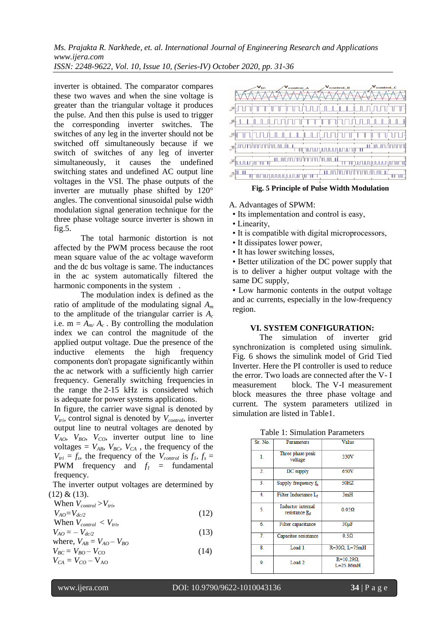*Ms. Prajakta R. Narkhede, et. al. International Journal of Engineering Research and Applications www.ijera.com ISSN: 2248-9622, Vol. 10, Issue 10, (Series-IV) October 2020, pp. 31-36*

inverter is obtained. The comparator compares these two waves and when the sine voltage is greater than the triangular voltage it produces the pulse. And then this pulse is used to trigger the corresponding inverter switches. The switches of any leg in the inverter should not be switched off simultaneously because if we switch of switches of any leg of inverter simultaneously, it causes the undefined switching states and undefined AC output line voltages in the VSI. The phase outputs of the inverter are mutually phase shifted by 120° angles. The conventional sinusoidal pulse width modulation signal generation technique for the three phase voltage source inverter is shown in fig.5.

The total harmonic distortion is not affected by the PWM process because the root mean square value of the ac voltage waveform and the dc bus voltage is same. The inductances in the ac system automatically filtered the harmonic components in the system.

The modulation index is defined as the ratio of amplitude of the modulating signal *A<sup>m</sup>* to the amplitude of the triangular carrier is *A<sup>c</sup>* i.e.  $m = A_{m}/A_c$ . By controlling the modulation index we can control the magnitude of the applied output voltage. Due the presence of the inductive elements the high frequency components don't propagate significantly within the ac network with a sufficiently high carrier frequency. Generally switching frequencies in the range the 2-15 kHz is considered which is adequate for power systems applications.

In figure, the carrier wave signal is denoted by  $V_{tri}$ , control signal is denoted by  $V_{control}$ , inverter output line to neutral voltages are denoted by  $V_{AO}$ ,  $V_{BO}$ ,  $V_{CO}$ , inverter output line to line voltages =  $V_{AB}$ ,  $V_{BC}$ ,  $V_{CA}$ , the frequency of the  $V_{tri} = f_s$ , the frequency of the  $V_{control}$  is  $f_l$ ,  $f_s =$ **PWM** frequency and  $f_1$  = fundamental frequency.

 The inverter output voltages are determined by  $(12)$  &  $(13)$ .

When 
$$
V_{control} > V_{tri}
$$
,  
\n $V_{AO} = V_{dc/2}$  (12)  
\nWhen  $V_{acc} > V$ 

When 
$$
V_{control} < V_{trib}
$$
  
\n
$$
V_{AO} = -V_{dc/2}
$$
\n(13)

where, 
$$
V_{AB} = V_{AO} - V_{BO}
$$
  
\n
$$
V_{BC} = V_{BO} - V_{CO}
$$
  
\n
$$
V_{CA} = V_{CO} - V_{AO}
$$
\n(14)



 **Fig. 5 Principle of Pulse Width Modulation**

# A. Advantages of SPWM:

- Its implementation and control is easy,
- Linearity,
- It is compatible with digital microprocessors,
- It dissipates lower power,
- It has lower switching losses,

• Better utilization of the DC power supply that is to deliver a higher output voltage with the same DC supply,

• Low harmonic contents in the output voltage and ac currents, especially in the low-frequency region.

# **VI. SYSTEM CONFIGURATION:**

The simulation of inverter grid synchronization is completed using simulink. Fig. 6 shows the simulink model of Grid Tied Inverter. Here the PI controller is used to reduce the error. Two loads are connected after the V- I measurement block. The V-I measurement block measures the three phase voltage and current. The system parameters utilized in simulation are listed in Table1.

| Sr. No. | Parameters                            | Value                               |
|---------|---------------------------------------|-------------------------------------|
| 1.      | Three phase peak<br>voltage           | 330V                                |
| 2.      | DC supply                             | 650V                                |
| 3.      | Supply frequency $f_{s}$ .            | 50HZ                                |
| 4.      | Filter Inductance L <sub>f</sub>      | 3mH                                 |
| 5.      | Inductor internal<br>resistance $R_f$ | $0.05\Omega$                        |
| 6.      | Filter capacitance                    | 30 <sub>µ</sub> F                   |
| 7.      | Capacitor resistance                  | $0.5\Omega$                         |
| 8.      | Load <sub>1</sub>                     | $R=30\Omega$ , $L=75mH$             |
| 9.      | Load <sub>2</sub>                     | $R=10.29\Omega$ .<br>$I = 25.86$ mH |
|         |                                       |                                     |

# Table 1: Simulation Parameters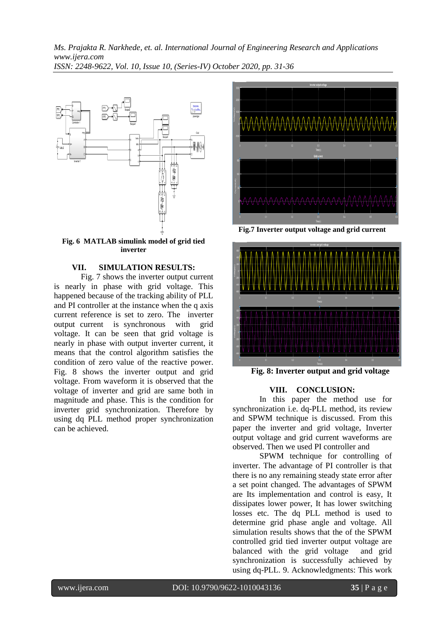*Ms. Prajakta R. Narkhede, et. al. International Journal of Engineering Research and Applications www.ijera.com ISSN: 2248-9622, Vol. 10, Issue 10, (Series-IV) October 2020, pp. 31-36*



#### **Fig. 6 MATLAB simulink model of grid tied inverter**

# **VII. SIMULATION RESULTS:**

Fig. 7 shows the inverter output current is nearly in phase with grid voltage. This happened because of the tracking ability of PLL and PI controller at the instance when the q axis current reference is set to zero. The inverter output current is synchronous with grid voltage. It can be seen that grid voltage is nearly in phase with output inverter current, it means that the control algorithm satisfies the condition of zero value of the reactive power. Fig. 8 shows the inverter output and grid voltage. From waveform it is observed that the voltage of inverter and grid are same both in magnitude and phase. This is the condition for inverter grid synchronization. Therefore by using dq PLL method proper synchronization can be achieved.



**Fig.7 Inverter output voltage and grid current**



**Fig. 8: Inverter output and grid voltage**

# **VIII. CONCLUSION:**

In this paper the method use for synchronization i.e. dq-PLL method, its review and SPWM technique is discussed. From this paper the inverter and grid voltage, Inverter output voltage and grid current waveforms are observed. Then we used PI controller and

SPWM technique for controlling of inverter. The advantage of PI controller is that there is no any remaining steady state error after a set point changed. The advantages of SPWM are Its implementation and control is easy, It dissipates lower power, It has lower switching losses etc. The dq PLL method is used to determine grid phase angle and voltage. All simulation results shows that the of the SPWM controlled grid tied inverter output voltage are balanced with the grid voltage and grid synchronization is successfully achieved by using dq-PLL. 9. Acknowledgments: This work